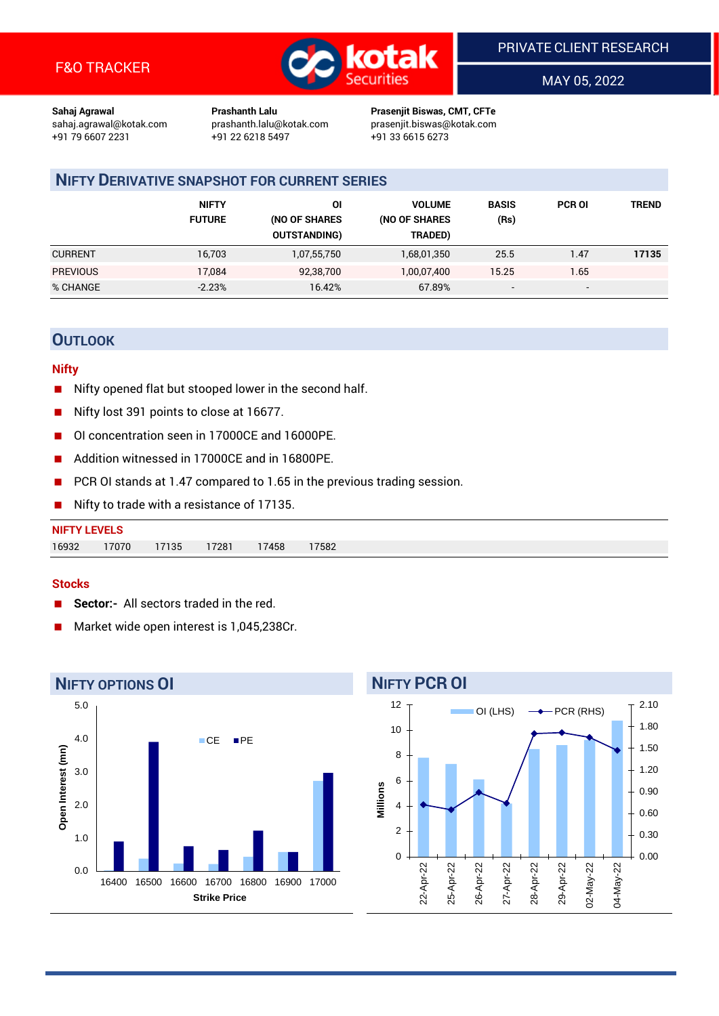

MAY 05, 2022

**Sahaj Agrawal Prashanth Lalu Prasenjit Biswas, CMT, CFTe** +91 22 6218 5497 +91 33 6615 6273

sahaj.agrawal@kotak.com [prashanth.lalu@kotak.com](mailto:prashanth.lalu@kotak.com) prasenjit.biswas@kotak.com

# **NIFTY DERIVATIVE SNAPSHOT FOR CURRENT SERIES**

|                 | <b>NIFTY</b><br><b>FUTURE</b> | ΟI<br>(NO OF SHARES<br><b>OUTSTANDING)</b> | <b>VOLUME</b><br>(NO OF SHARES<br>TRADED) | <b>BASIS</b><br>(Rs)     | <b>PCR OI</b>            | TREND |
|-----------------|-------------------------------|--------------------------------------------|-------------------------------------------|--------------------------|--------------------------|-------|
| <b>CURRENT</b>  | 16,703                        | 1,07,55,750                                | 1,68,01,350                               | 25.5                     | 1.47                     | 17135 |
| <b>PREVIOUS</b> | 17.084                        | 92,38,700                                  | 1,00,07,400                               | 15.25                    | 1.65                     |       |
| % CHANGE        | $-2.23%$                      | 16.42%                                     | 67.89%                                    | $\overline{\phantom{a}}$ | $\overline{\phantom{0}}$ |       |

# **OUTLOOK**

### **Nifty**

- Nifty opened flat but stooped lower in the second half.
- Nifty lost 391 points to close at 16677.
- OI concentration seen in 17000CE and 16000PE.
- Addition witnessed in 17000CE and in 16800PE.
- PCR OI stands at 1.47 compared to 1.65 in the previous trading session.
- $\blacksquare$  Nifty to trade with a resistance of 17135.

| <b>NIFTY LEVELS</b> |       |       |       |       |      |
|---------------------|-------|-------|-------|-------|------|
| 16932               | 17070 | 17135 | 17281 | 17458 | 7582 |

## **Stocks**

- **Sector:-** All sectors traded in the red.
- Market wide open interest is 1,045,238Cr.



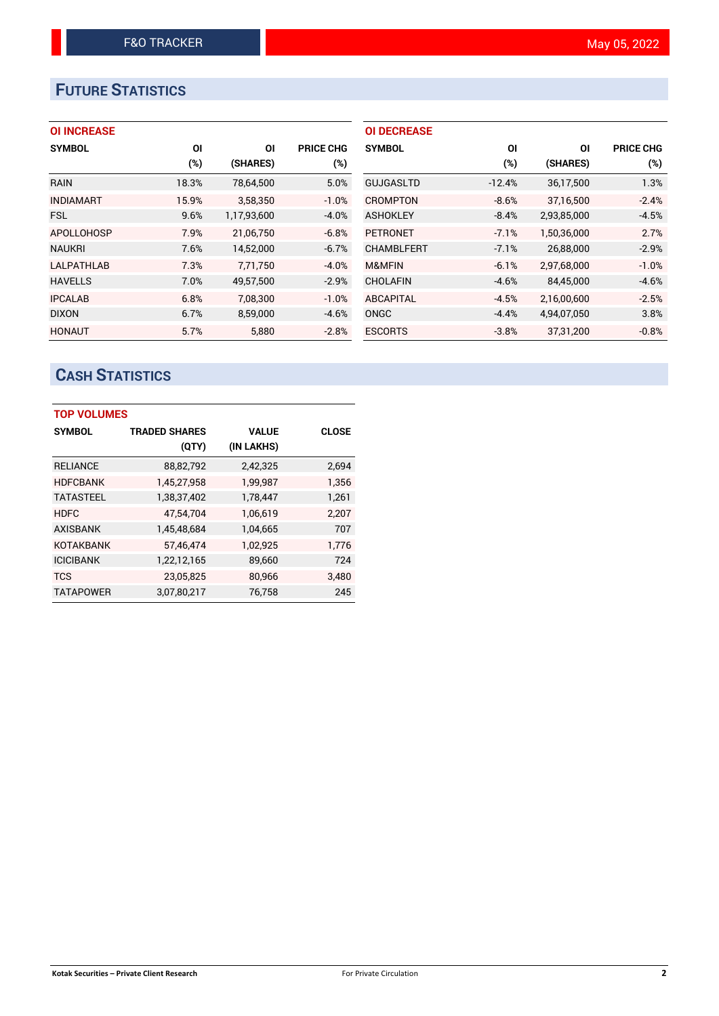# **FUTURE STATISTICS**

# **OI INCREASE**

| <b>SYMBOL</b>     | ΟI    | ΟI          | <b>PRICE CHG</b> |
|-------------------|-------|-------------|------------------|
|                   | (%)   | (SHARES)    | $(\%)$           |
| <b>RAIN</b>       | 18.3% | 78,64,500   | 5.0%             |
| <b>INDIAMART</b>  | 15.9% | 3,58,350    | $-1.0%$          |
| <b>FSL</b>        | 9.6%  | 1,17,93,600 | $-4.0%$          |
| <b>APOLLOHOSP</b> | 7.9%  | 21,06,750   | $-6.8%$          |
| <b>NAUKRI</b>     | 7.6%  | 14,52,000   | $-6.7%$          |
| <b>LALPATHLAB</b> | 7.3%  | 7,71,750    | $-4.0%$          |
| <b>HAVELLS</b>    | 7.0%  | 49,57,500   | $-2.9%$          |
| <b>IPCALAB</b>    | 6.8%  | 7,08,300    | $-1.0%$          |
| <b>DIXON</b>      | 6.7%  | 8,59,000    | $-4.6%$          |
| <b>HONAUT</b>     | 5.7%  | 5.880       | $-2.8%$          |

| <b>OI DECREASE</b> |          |             |                  |
|--------------------|----------|-------------|------------------|
| <b>SYMBOL</b>      | ΟI       | ΟI          | <b>PRICE CHG</b> |
|                    | $(\%)$   | (SHARES)    | $(\%)$           |
| <b>GUJGASLTD</b>   | $-12.4%$ | 36,17,500   | 1.3%             |
| CROMPTON           | $-8.6%$  | 37,16,500   | $-2.4%$          |
| <b>ASHOKLEY</b>    | $-8.4%$  | 2,93,85,000 | $-4.5%$          |
| <b>PETRONET</b>    | $-7.1%$  | 1,50,36,000 | 2.7%             |
| <b>CHAMBLFERT</b>  | $-7.1%$  | 26,88,000   | $-2.9%$          |
| M&MFIN             | $-6.1%$  | 2,97,68,000 | $-1.0%$          |
| <b>CHOLAFIN</b>    | $-4.6%$  | 84,45,000   | $-4.6%$          |
| <b>ABCAPITAL</b>   | $-4.5%$  | 2,16,00,600 | $-2.5%$          |
| ONGC               | $-4.4%$  | 4,94,07,050 | 3.8%             |
| <b>ESCORTS</b>     | $-3.8%$  | 37, 31, 200 | $-0.8%$          |

# **CASH STATISTICS**

| <b>TOP VOLUMES</b> |                      |              |              |  |  |  |  |
|--------------------|----------------------|--------------|--------------|--|--|--|--|
| <b>SYMBOL</b>      | <b>TRADED SHARES</b> | <b>VALUE</b> | <b>CLOSE</b> |  |  |  |  |
|                    | (QTY)                | (IN LAKHS)   |              |  |  |  |  |
| <b>RELIANCE</b>    | 88,82,792            | 2,42,325     | 2,694        |  |  |  |  |
| <b>HDFCBANK</b>    | 1,45,27,958          | 1,99,987     | 1,356        |  |  |  |  |
| <b>TATASTEEL</b>   | 1,38,37,402          | 1,78,447     | 1,261        |  |  |  |  |
| <b>HDFC</b>        | 47,54,704            | 1,06,619     | 2.207        |  |  |  |  |
| <b>AXISBANK</b>    | 1,45,48,684          | 1,04,665     | 707          |  |  |  |  |
| <b>KOTAKBANK</b>   | 57,46,474            | 1,02,925     | 1,776        |  |  |  |  |
| <b>ICICIBANK</b>   | 1,22,12,165          | 89,660       | 724          |  |  |  |  |
| <b>TCS</b>         | 23,05,825            | 80,966       | 3,480        |  |  |  |  |
| <b>TATAPOWER</b>   | 3.07.80.217          | 76.758       | 245          |  |  |  |  |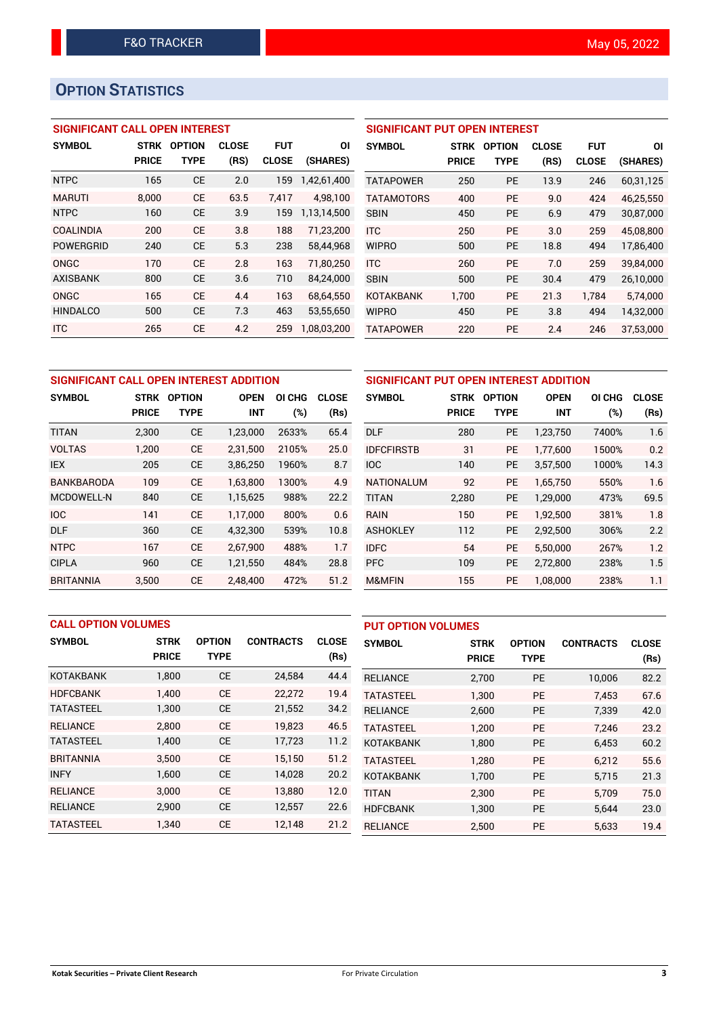# **OPTION STATISTICS**

# **SIGNIFICANT CALL OPEN INTEREST**

| <b>SYMBOL</b>    | <b>STRK</b>  | <b>OPTION</b> | <b>CLOSE</b> | <b>FUT</b>   | ΟI          |
|------------------|--------------|---------------|--------------|--------------|-------------|
|                  | <b>PRICE</b> | TYPE          | (RS)         | <b>CLOSE</b> | (SHARES)    |
| <b>NTPC</b>      | 165          | <b>CE</b>     | 2.0          | 159          | 1,42,61,400 |
| <b>MARUTI</b>    | 8,000        | CE            | 63.5         | 7,417        | 4,98,100    |
| <b>NTPC</b>      | 160          | СE            | 3.9          | 159          | 1.13.14.500 |
| <b>COALINDIA</b> | 200          | <b>CE</b>     | 3.8          | 188          | 71,23,200   |
| <b>POWERGRID</b> | 240          | <b>CE</b>     | 5.3          | 238          | 58,44,968   |
| ONGC             | 170          | <b>CE</b>     | 2.8          | 163          | 71,80,250   |
| <b>AXISBANK</b>  | 800          | <b>CE</b>     | 3.6          | 710          | 84,24,000   |
| ONGC             | 165          | <b>CE</b>     | 4.4          | 163          | 68,64,550   |
| <b>HINDALCO</b>  | 500          | <b>CE</b>     | 7.3          | 463          | 53,55,650   |
| <b>ITC</b>       | 265          | CE            | 4.2          | 259          | 1,08,03,200 |

# **SIGNIFICANT PUT OPEN INTEREST**

| <b>SYMBOL</b>     | <b>STRK</b><br><b>PRICE</b> | <b>OPTION</b><br>TYPE | <b>CLOSE</b><br>(RS) | <b>FUT</b><br><b>CLOSE</b> | ΟI<br>(SHARES) |
|-------------------|-----------------------------|-----------------------|----------------------|----------------------------|----------------|
| <b>TATAPOWER</b>  | 250                         | PF                    | 13.9                 | 246                        | 60,31,125      |
| <b>TATAMOTORS</b> | 400                         | PF                    | 9.0                  | 424                        | 46,25,550      |
| <b>SBIN</b>       | 450                         | PF                    | 6.9                  | 479                        | 30,87,000      |
| <b>ITC</b>        | 250                         | PF                    | 3.0                  | 259                        | 45.08.800      |
| <b>WIPRO</b>      | 500                         | <b>PE</b>             | 18.8                 | 494                        | 17,86,400      |
| <b>ITC</b>        | 260                         | PF                    | 7.0                  | 259                        | 39.84.000      |
| <b>SBIN</b>       | 500                         | PF                    | 30.4                 | 479                        | 26,10,000      |
| <b>KOTAKBANK</b>  | 1,700                       | <b>PE</b>             | 21.3                 | 1,784                      | 5,74,000       |
| <b>WIPRO</b>      | 450                         | PF                    | 3.8                  | 494                        | 14,32,000      |
| <b>TATAPOWER</b>  | 220                         | <b>PE</b>             | 2.4                  | 246                        | 37,53,000      |

|                   | SIGNIFICANT CALL OPEN INTEREST ADDITION |               |             |        |              |                   |              | SIGNIFICANT PUT OPEN INTEREST AD |       |
|-------------------|-----------------------------------------|---------------|-------------|--------|--------------|-------------------|--------------|----------------------------------|-------|
| <b>SYMBOL</b>     | <b>STRK</b>                             | <b>OPTION</b> | <b>OPEN</b> | OI CHG | <b>CLOSE</b> | <b>SYMBOL</b>     | <b>STRK</b>  | <b>OPTION</b>                    | ΟI    |
|                   | <b>PRICE</b>                            | <b>TYPE</b>   | <b>INT</b>  | (%)    | (Rs)         |                   | <b>PRICE</b> | <b>TYPE</b>                      |       |
| <b>TITAN</b>      | 2,300                                   | <b>CE</b>     | 1,23,000    | 2633%  | 65.4         | <b>DLF</b>        | 280          | <b>PE</b>                        | 1,23, |
| <b>VOLTAS</b>     | 1.200                                   | <b>CE</b>     | 2,31,500    | 2105%  | 25.0         | <b>IDFCFIRSTB</b> | 31           | <b>PE</b>                        | 1,77, |
| <b>IEX</b>        | 205                                     | <b>CE</b>     | 3,86,250    | 1960%  | 8.7          | <b>IOC</b>        | 140          | <b>PE</b>                        | 3,57, |
| <b>BANKBARODA</b> | 109                                     | <b>CE</b>     | 1.63.800    | 1300%  | 4.9          | <b>NATIONALUM</b> | 92           | <b>PE</b>                        | 1,65, |
| MCDOWELL-N        | 840                                     | <b>CE</b>     | 1,15,625    | 988%   | 22.2         | <b>TITAN</b>      | 2,280        | PE                               | 1,29, |
| <b>IOC</b>        | 141                                     | <b>CE</b>     | 1,17,000    | 800%   | 0.6          | <b>RAIN</b>       | 150          | <b>PE</b>                        | 1,92, |
| <b>DLF</b>        | 360                                     | <b>CE</b>     | 4,32,300    | 539%   | 10.8         | <b>ASHOKLEY</b>   | 112          | <b>PE</b>                        | 2,92, |
| <b>NTPC</b>       | 167                                     | <b>CE</b>     | 2,67,900    | 488%   | 1.7          | <b>IDFC</b>       | 54           | <b>PE</b>                        | 5,50, |
| <b>CIPLA</b>      | 960                                     | <b>CE</b>     | 1,21,550    | 484%   | 28.8         | <b>PFC</b>        | 109          | <b>PE</b>                        | 2,72, |
| <b>BRITANNIA</b>  | 3.500                                   | <b>CE</b>     | 2.48.400    | 472%   | 51.2         | M&MFIN            | 155          | PE                               | 1,08, |

| SIGNIFICANT PUT OPEN INTEREST ADDITION |              |               |             |        |              |  |  |  |  |
|----------------------------------------|--------------|---------------|-------------|--------|--------------|--|--|--|--|
| <b>SYMBOL</b>                          | <b>STRK</b>  | <b>OPTION</b> | <b>OPEN</b> | OI CHG | <b>CLOSE</b> |  |  |  |  |
|                                        | <b>PRICE</b> | <b>TYPE</b>   | <b>INT</b>  | $(\%)$ | (Rs)         |  |  |  |  |
| <b>DLF</b>                             | 280          | <b>PE</b>     | 1,23,750    | 7400%  | 1.6          |  |  |  |  |
| <b>IDFCFIRSTB</b>                      | 31           | PE.           | 1,77,600    | 1500%  | 0.2          |  |  |  |  |
| <b>IOC</b>                             | 140          | <b>PE</b>     | 3,57,500    | 1000%  | 14.3         |  |  |  |  |
| <b>NATIONALUM</b>                      | 92           | <b>PE</b>     | 1,65,750    | 550%   | 1.6          |  |  |  |  |
| <b>TITAN</b>                           | 2,280        | <b>PE</b>     | 1,29,000    | 473%   | 69.5         |  |  |  |  |
| <b>RAIN</b>                            | 150          | <b>PE</b>     | 1,92,500    | 381%   | 1.8          |  |  |  |  |
| <b>ASHOKLEY</b>                        | 112          | <b>PE</b>     | 2,92,500    | 306%   | 2.2          |  |  |  |  |
| <b>IDFC</b>                            | 54           | <b>PE</b>     | 5,50,000    | 267%   | 1.2          |  |  |  |  |
| <b>PFC</b>                             | 109          | <b>PE</b>     | 2,72,800    | 238%   | 1.5          |  |  |  |  |
| M&MFIN                                 | 155          | <b>PE</b>     | 1,08,000    | 238%   | 1.1          |  |  |  |  |

|                  | <b>CALL OPTION VOLUMES</b> |               |                  |              |                  | <b>PUT OPTION VOLUMES</b> |               |                  |              |  |
|------------------|----------------------------|---------------|------------------|--------------|------------------|---------------------------|---------------|------------------|--------------|--|
| <b>SYMBOL</b>    | <b>STRK</b>                | <b>OPTION</b> | <b>CONTRACTS</b> | <b>CLOSE</b> | <b>SYMBOL</b>    | <b>STRK</b>               | <b>OPTION</b> | <b>CONTRACTS</b> | <b>CLOSE</b> |  |
|                  | <b>PRICE</b>               | <b>TYPE</b>   |                  | (Rs)         |                  | <b>PRICE</b>              | <b>TYPE</b>   |                  | (Rs)         |  |
| <b>KOTAKBANK</b> | 1,800                      | <b>CE</b>     | 24,584           | 44.4         | <b>RELIANCE</b>  | 2,700                     | PE            | 10,006           | 82.2         |  |
| <b>HDFCBANK</b>  | 1.400                      | <b>CE</b>     | 22,272           | 19.4         | <b>TATASTEEL</b> | 1.300                     | <b>PE</b>     | 7.453            | 67.6         |  |
| <b>TATASTEEL</b> | 1.300                      | <b>CE</b>     | 21,552           | 34.2         | <b>RELIANCE</b>  | 2,600                     | <b>PE</b>     | 7,339            | 42.0         |  |
| <b>RELIANCE</b>  | 2.800                      | <b>CE</b>     | 19,823           | 46.5         | <b>TATASTEEL</b> | 1.200                     | <b>PE</b>     | 7.246            | 23.2         |  |
| <b>TATASTEEL</b> | 1,400                      | <b>CE</b>     | 17,723           | 11.2         | <b>KOTAKBANK</b> | 1,800                     | <b>PE</b>     | 6,453            | 60.2         |  |
| <b>BRITANNIA</b> | 3.500                      | <b>CE</b>     | 15,150           | 51.2         | <b>TATASTEEL</b> | 1.280                     | <b>PE</b>     | 6.212            | 55.6         |  |
| <b>INFY</b>      | 1,600                      | <b>CE</b>     | 14,028           | 20.2         | <b>KOTAKBANK</b> | 1,700                     | <b>PE</b>     | 5,715            | 21.3         |  |
| <b>RELIANCE</b>  | 3.000                      | <b>CE</b>     | 13.880           | 12.0         | <b>TITAN</b>     | 2,300                     | <b>PE</b>     | 5.709            | 75.0         |  |
| <b>RELIANCE</b>  | 2,900                      | <b>CE</b>     | 12,557           | 22.6         | <b>HDFCBANK</b>  | 1,300                     | <b>PE</b>     | 5,644            | 23.0         |  |
| <b>TATASTEEL</b> | 1,340                      | <b>CE</b>     | 12,148           | 21.2         | <b>RELIANCE</b>  | 2,500                     | PE            | 5,633            | 19.4         |  |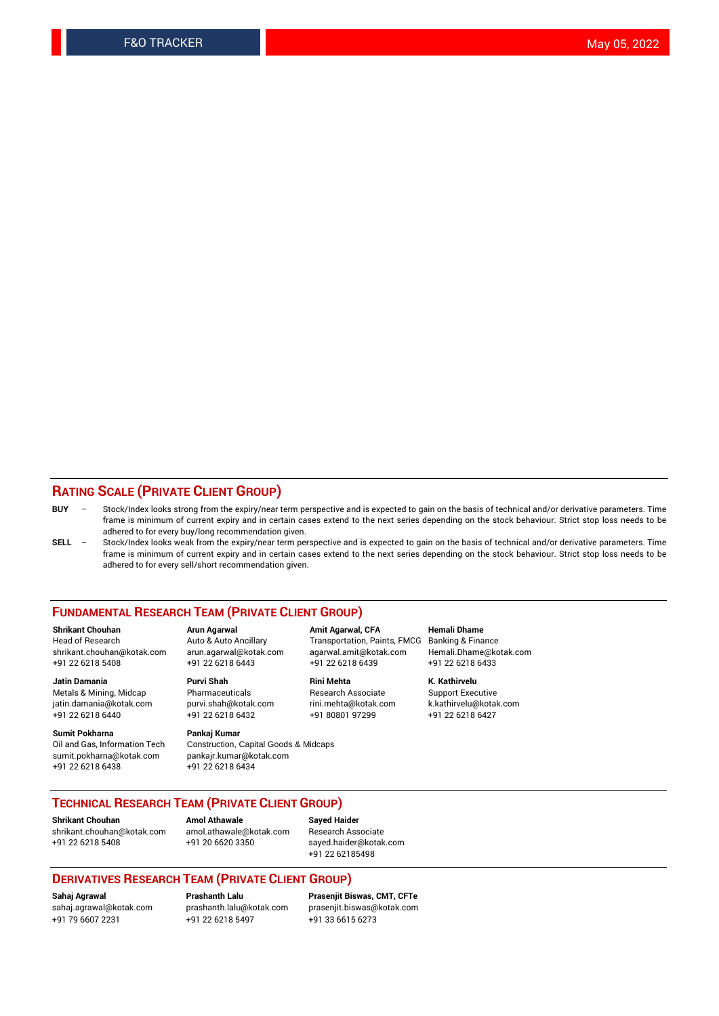## **RATING SCALE (PRIVATE CLIENT GROUP)**

- **BUY**  Stock/Index looks strong from the expiry/near term perspective and is expected to gain on the basis of technical and/or derivative parameters. Time frame is minimum of current expiry and in certain cases extend to the next series depending on the stock behaviour. Strict stop loss needs to be adhered to for every buy/long recommendation given.
- **SELL** Stock/Index looks weak from the expiry/near term perspective and is expected to gain on the basis of technical and/or derivative parameters. Time frame is minimum of current expiry and in certain cases extend to the next series depending on the stock behaviour. Strict stop loss needs to be adhered to for every sell/short recommendation given.

#### **FUNDAMENTAL RESEARCH TEAM (PRIVATE CLIENT GROUP)**

**Shrikant Chouhan Arun Agarwal Amit Agarwal, CFA Hemali Dhame** shrikant.chouhan@kotak.com arun.agarwal@kotak.com agarwal.amit@kotak.com Hemali.Dhame@kotak.com +91 22 6218 5408 +91 22 6218 6443 +91 22 6218 6439 +91 22 6218 6433

jatin.damania@kotak.com

**Sumit Pokharna** Pankaj Kumar<br>Oil and Gas, Information Tech Construction, sumit.pokharna@kotak.com pankajr.kumar@kotak.com +91 22 6218 6438 +91 22 6218 6434

Construction, Capital Goods & Midcaps

Transportation, Paints, FMCG

**Jatin Damania Purvi Shah Rini Mehta K. Kathirvelu** +91 22 6218 6440 +91 22 6218 6432 +91 80801 97299 +91 22 6218 6427

Metals & Mining, Midcap Pharmaceuticals Pharmaceuticals Research Associate Support Executive<br>
iatin.damania@kotak.com purvi.shah@kotak.com rini.mehta@kotak.com k.kathirvelu@kotak.com

## **TECHNICAL RESEARCH TEAM (PRIVATE CLIENT GROUP)**

**Shrikant Chouhan Amol Athawale Sayed Haider** [shrikant.chouhan@kotak.com](mailto:shrikant.chouhan@kotak.com) [amol.athawale@kotak.com](mailto:amol.athawale@kotak.com) Research Associate +91 22 6218 5408 +91 20 6620 3350 [sayed.haider@kotak.com](mailto:sayed.haider@kotak.com)

+91 22 62185498

#### **DERIVATIVES RESEARCH TEAM (PRIVATE CLIENT GROUP)**

+91 79 6607 2231 +91 22 6218 5497 +91 33 6615 6273

**Sahaj Agrawal Prashanth Lalu Prasenjit Biswas, CMT, CFTe** [prasenjit.biswas@kotak.com](mailto:prasenjit.biswas@kotak.com)